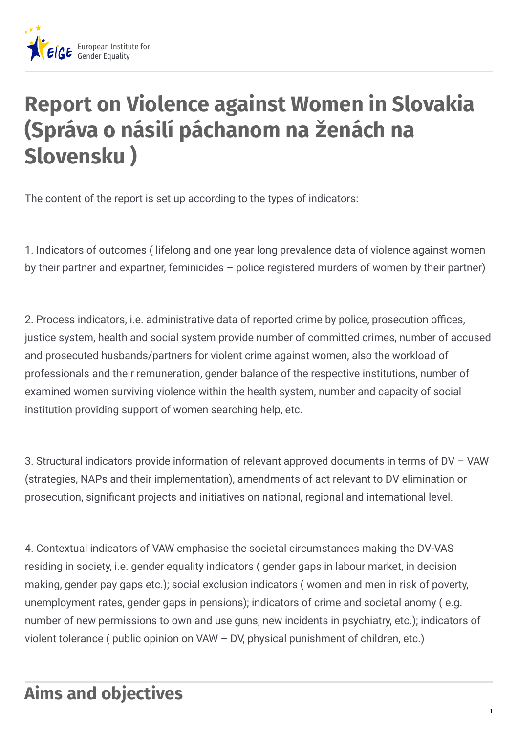

# **Report on Violence against Women in Slovakia (Správa o násilí páchanom na ženách na Slovensku )**

The content of the report is set up according to the types of indicators:

1. Indicators of outcomes ( lifelong and one year long prevalence data of violence against women by their partner and expartner, feminicides – police registered murders of women by their partner)

2. Process indicators, i.e. administrative data of reported crime by police, prosecution offices, justice system, health and social system provide number of committed crimes, number of accused and prosecuted husbands/partners for violent crime against women, also the workload of professionals and their remuneration, gender balance of the respective institutions, number of examined women surviving violence within the health system, number and capacity of social institution providing support of women searching help, etc.

3. Structural indicators provide information of relevant approved documents in terms of DV – VAW (strategies, NAPs and their implementation), amendments of act relevant to DV elimination or prosecution, significant projects and initiatives on national, regional and international level.

4. Contextual indicators of VAW emphasise the societal circumstances making the DV-VAS residing in society, i.e. gender equality indicators ( gender gaps in labour market, in decision making, gender pay gaps etc.); social exclusion indicators ( women and men in risk of poverty, unemployment rates, gender gaps in pensions); indicators of crime and societal anomy ( e.g. number of new permissions to own and use guns, new incidents in psychiatry, etc.); indicators of violent tolerance ( public opinion on VAW – DV, physical punishment of children, etc.)

## **Aims and objectives**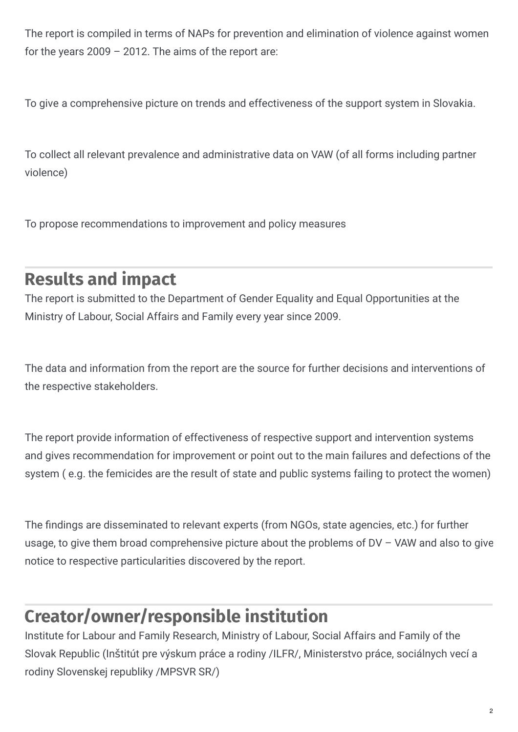The report is compiled in terms of NAPs for prevention and elimination of violence against women for the years 2009 – 2012. The aims of the report are:

To give a comprehensive picture on trends and effectiveness of the support system in Slovakia.

To collect all relevant prevalence and administrative data on VAW (of all forms including partner violence)

To propose recommendations to improvement and policy measures

#### **Results and impact**

The report is submitted to the Department of Gender Equality and Equal Opportunities at the Ministry of Labour, Social Affairs and Family every year since 2009.

The data and information from the report are the source for further decisions and interventions of the respective stakeholders.

The report provide information of effectiveness of respective support and intervention systems and gives recommendation for improvement or point out to the main failures and defections of the system ( e.g. the femicides are the result of state and public systems failing to protect the women)

The findings are disseminated to relevant experts (from NGOs, state agencies, etc.) for further usage, to give them broad comprehensive picture about the problems of DV – VAW and also to give notice to respective particularities discovered by the report.

### **Creator/owner/responsible institution**

Institute for Labour and Family Research, Ministry of Labour, Social Affairs and Family of the Slovak Republic (Inštitút pre výskum práce a rodiny /ILFR/, Ministerstvo práce, sociálnych vecí a rodiny Slovenskej republiky /MPSVR SR/)